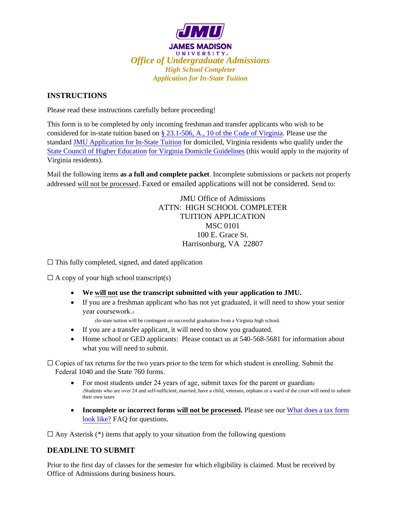

## **INSTRUCTIONS**

Please read these instructions carefully before proceeding!

This form is to be completed by only incoming freshman and transfer applicants who wish to be considered for in-state tuition based on [§ 23.1-506, A., 10 of the Code of Virginia.](https://law.lis.virginia.gov/vacode/title23.1/chapter5/section23.1-506/#:~:text=Rate%20Tuition%20Eligibility-,%C2%A7%2023.1%2D506.,state%20and%20high%20school%20students.&text=Notwithstanding%20%C2%A7%2023.1%2D502%20or,1.) Please use the standard JMU Application for In-State Tuition for domiciled, Virginia residen[ts who qualify under the](http://www.jmu.edu/admissions/files/jmu-residency-application.pdf)  [State Council](http://www.jmu.edu/admissions/files/jmu-residency-application.pdf) of Higher Education for Virginia Domicile Guidelines [\(this would apply to the majority of](http://www.schev.edu/index/tuition-aid/in-state-residency/financial-aid-policy-and-procedures)  [Virginia residents\).](http://www.schev.edu/index/tuition-aid/in-state-residency/financial-aid-policy-and-procedures) 

Mail the following items **as a full and complete packet**. Incomplete submissions or packets not properly addressed will not be processed. Faxed or emailed applications will not be considered. Send to:

> JMU Office of Admissions ATTN: HIGH SCHOOL COMPLETER TUITION APPLICATION MSC 0101 100 E. Grace St. Harrisonburg, VA 22807

 $\Box$  This fully completed, signed, and dated application

 $\Box$  A copy of your high school transcript(s)

- **We will not use the transcript submitted with your application to JMU.**
- If you are a freshman applicant who has not yet graduated, it will need to show your senior year coursework.

₁In-state tuition will be contingent on successful graduation from a Virginia high school.

- If you are a transfer applicant, it will need to show you graduated.
- Home school or GED applicants: Please contact us at 540-568-5681 for information about what you will need to submit.

 $\Box$  Copies of tax returns for the two years prior to the term for which student is enrolling. Submit the Federal 1040 and the State 760 forms.

- For most students under 24 years of age, submit taxes for the parent or guardian ₂Students who are over 24 and self-sufficient, married, have a child, veterans, orphans or a ward of the court will need to submit their own taxes
- **Incomplete or incorrect forms will not be processed.** Please see our [What does a tax form](https://www.jmu.edu/admissions/residency/#Set-3-A-9) [look like?](https://www.jmu.edu/admissions/residency/#Set-3-A-9) FAQ for questions.

 $\Box$  Any Asterisk (\*) items that apply to your situation from the following questions

## **DEADLINE TO SUBMIT**

Prior to the first day of classes for the semester for which eligibility is claimed. Must be received by Office of Admissions during business hours.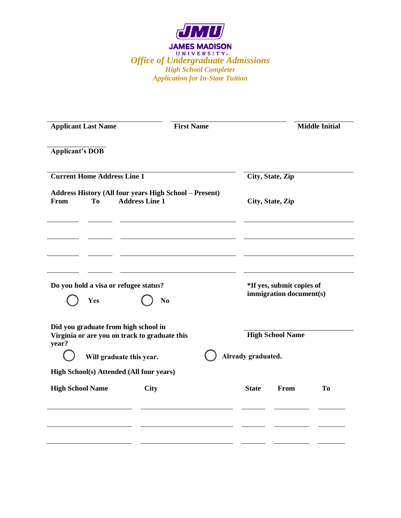

| <b>Applicant Last Name</b>                    | <b>First Name</b>                                                                      |                    |                                                      | <b>Middle Initial</b> |
|-----------------------------------------------|----------------------------------------------------------------------------------------|--------------------|------------------------------------------------------|-----------------------|
| <b>Applicant's DOB</b>                        |                                                                                        |                    |                                                      |                       |
| <b>Current Home Address Line 1</b>            |                                                                                        |                    | City, State, Zip                                     |                       |
| From<br>T <sub>0</sub>                        | <b>Address History (All four years High School - Present)</b><br><b>Address Line 1</b> |                    | City, State, Zip                                     |                       |
|                                               |                                                                                        |                    |                                                      |                       |
| Do you hold a visa or refugee status?<br>Yes  | N <sub>0</sub>                                                                         |                    | *If yes, submit copies of<br>immigration document(s) |                       |
| Did you graduate from high school in<br>year? | Virginia or are you on track to graduate this                                          | Already graduated. | <b>High School Name</b>                              |                       |
| High School(s) Attended (All four years)      | Will graduate this year.                                                               |                    |                                                      |                       |
| <b>High School Name</b>                       | <b>City</b>                                                                            | <b>State</b>       | From                                                 | To                    |
|                                               |                                                                                        |                    |                                                      |                       |
|                                               |                                                                                        |                    |                                                      |                       |